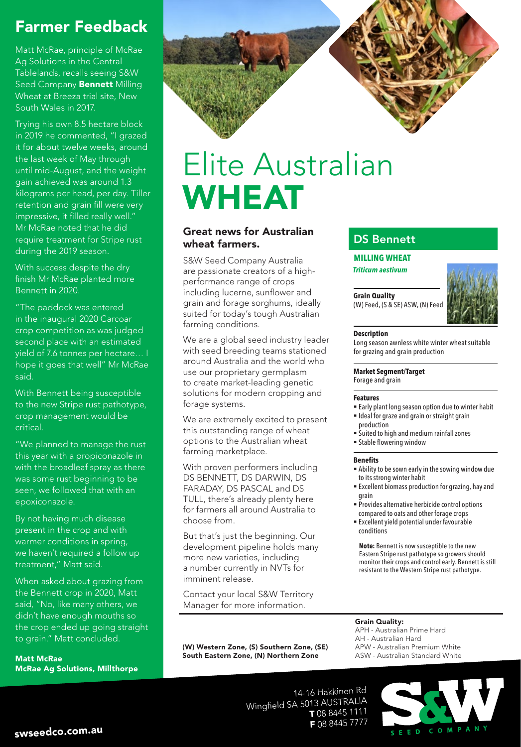### Farmer Feedback

Matt McRae, principle of McRae Ag Solutions in the Central Tablelands, recalls seeing S&W Seed Company **Bennett** Milling Wheat at Breeza trial site, New South Wales in 2017.

Trying his own 8.5 hectare block in 2019 he commented, "I grazed it for about twelve weeks, around the last week of May through until mid-August, and the weight gain achieved was around 1.3 kilograms per head, per day. Tiller retention and grain fill were very impressive, it filled really well." Mr McRae noted that he did require treatment for Stripe rust during the 2019 season.

With success despite the dry finish Mr McRae planted more Bennett in 2020.

"The paddock was entered in the inaugural 2020 Carcoar crop competition as was judged second place with an estimated yield of 7.6 tonnes per hectare… I hope it goes that well" Mr McRae said.

With Bennett being susceptible to the new Stripe rust pathotype, crop management would be critical.

"We planned to manage the rust this year with a propiconazole in with the broadleaf spray as there was some rust beginning to be seen, we followed that with an epoxiconazole.

By not having much disease present in the crop and with warmer conditions in spring, we haven't required a follow up treatment," Matt said.

When asked about grazing from the Bennett crop in 2020, Matt said, "No, like many others, we didn't have enough mouths so the crop ended up going straight to grain." Matt concluded.

Matt McRae McRae Ag Solutions, Millthorpe

# Elite Australian WHEAT

### Great news for Australian wheat farmers.

S&W Seed Company Australia are passionate creators of a highperformance range of crops including lucerne, sunflower and grain and forage sorghums, ideally suited for today's tough Australian farming conditions.

We are a global seed industry leader with seed breeding teams stationed around Australia and the world who use our proprietary germplasm to create market-leading genetic solutions for modern cropping and forage systems.

We are extremely excited to present this outstanding range of wheat options to the Australian wheat farming marketplace.

With proven performers including DS BENNETT, DS DARWIN, DS FARADAY, DS PASCAL and DS TULL, there's already plenty here for farmers all around Australia to choose from.

But that's just the beginning. Our development pipeline holds many more new varieties, including a number currently in NVTs for imminent release.

Contact your local S&W Territory Manager for more information.

(W) Western Zone, (S) Southern Zone, (SE) South Eastern Zone, (N) Northern Zone

### DS Bennett

#### **MILLING WHEAT**

**Triticum aestivum** 

**Grain Quality**  (W) Feed, (S & SE) ASW, (N) Feed



#### **Description**

Long season awnless white winter wheat suitable for grazing and grain production

#### **Market Segment/Target**

Forage and grain

#### **Features**

- Early plant long season option due to winter habit **Ideal for graze and grain or straight grain**
- production
- Suited to high and medium rainfall zones
- **Stable flowering window**

#### **Benefits**

- Ability to be sown early in the sowing window due to its strong winter habit
- Excellent biomass production for grazing, hay and grain
- Provides alternative herbicide control options compared to oats and other forage crops
- Excellent yield potential under favourable conditions

**Note:** Bennett is now susceptible to the new Eastern Stripe rust pathotype so growers should monitor their crops and control early. Bennett is still resistant to the Western Stripe rust pathotype.

#### Grain Quality:

APH - Australian Prime Hard AH - Australian Hard APW - Australian Premium White ASW - Australian Standard White

14-16 Hakkinen Rd Wingfield SA 5013 AUSTRALIA T 08 8445 1111 F 08 8445 7777